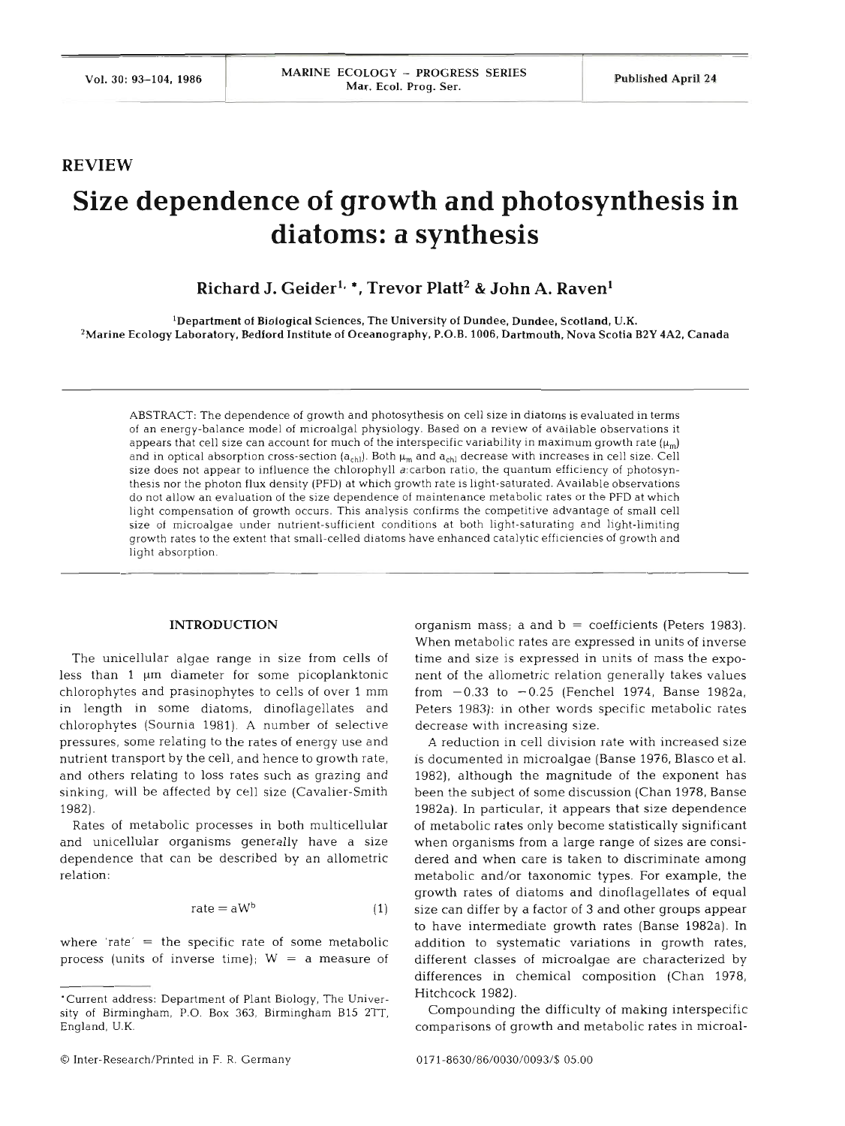## **REVIEW**

# **Size dependence of growth and photosynthesis in diatoms: a synthesis**

**Richard J. Geiderlo** \*, **Trevor Platt2** & **John A. Raven1** 

'Department of Biological Sciences, The University of Dundee, Dundee, Scotland, U.K. ZMarine Ecology Laboratory, Bedford Institute of Oceanography, P.O.B. 1006, Dartmouth, Nova Scotia **B2Y** 4A2, Canada

ABSTRACT: The dependence of growth and photosythesis on cell size in diatoms is evaluated in terms of an energy-balance model of microalgal physiology. Based on a review of available observations it appears that cell size can account for much of the interspecific variability in maximum growth rate  $(\mu_m)$ and in optical absorption cross-section  $(a_{ch}$ ). Both  $\mu_m$  and  $a_{ch}$  decrease with increases in cell size. Cell size does not appear to influence the chlorophyll a:carbon ratio, the quantum efficiency of photosynthesis nor the photon flux density (PFD) at which growth rate is llght-saturated. Available observations do not allow an evaluation of the size dependence of maintenance metabolic rates or the PFD at which light compensation of growth occurs. This analysis confirms the competitive advantage of small cell size of microalgae under nutrient-sufficient conditions at both light-saturating and light-limiting growth rates to the extent that small-celled diatoms have enhanced catalytic efficiencies of growth and light absorption.

## **INTRODUCTION**

The unicellular algae range in size from cells of less than  $1 \mu m$  diameter for some picoplanktonic chlorophytes and prasinophytes to cells of over 1 mm in length in some diatoms, dinoflagellates and chlorophytes (Sournia 1981). A number of selective pressures, some relating to the rates of energy use and nutrient transport by the cell, and hence to growth rate, and others relating to loss rates such as grazing and sinking, will be affected by cell size (Cavalier-Smith 1982).

Rates of metabolic processes in both multicellular and unicellular organisms generally have a size dependence that can be described by an allometric relatio

$$
rate = aWb \t\t(1)
$$

where 'rate'  $=$  the specific rate of some metabolic process (units of inverse time);  $W = a$  measure of organism mass; a and  $b =$  coefficients (Peters 1983). When metabolic rates are expressed in units of inverse time and size is expressed in units of mass the exponent of the allometric relation generally takes values from  $-0.33$  to  $-0.25$  (Fenchel 1974, Banse 1982a, Peters 1983): in other words specific metabolic rates decrease with increasing size.

A reduction in cell division rate with increased siz is documented in microalgae (Banse 1976, Blasco et al. 1982), although the magnitude of the exponent has been the subject of some discussion (Chan 1978, Banse 1982a). In particular, it appears that size dependence of metabolic rates only become statistically significant when organisms from a large range of sizes are considered and when care is taken to discriminate among metabolic and/or taxonomic types. For example, the growth rates of diatoms and dinoflagellates of equal size can differ by a factor of **3** and other groups appear to have intermediate growth rates (Banse 1982a). In addition to systematic variations in growth rates, different classes of microalgae are characterized by differences in chemical composition (Chan 1978, Hitchcock 1982).

Compounding the difficulty of making interspecific comparisons of growth and metabolic rates in microal-

<sup>&#</sup>x27;Current address: Department of Plant Biology, The University of Birmingham, P.O. Box *363,* Birmingham B15 **ZTT,**  England, U.K.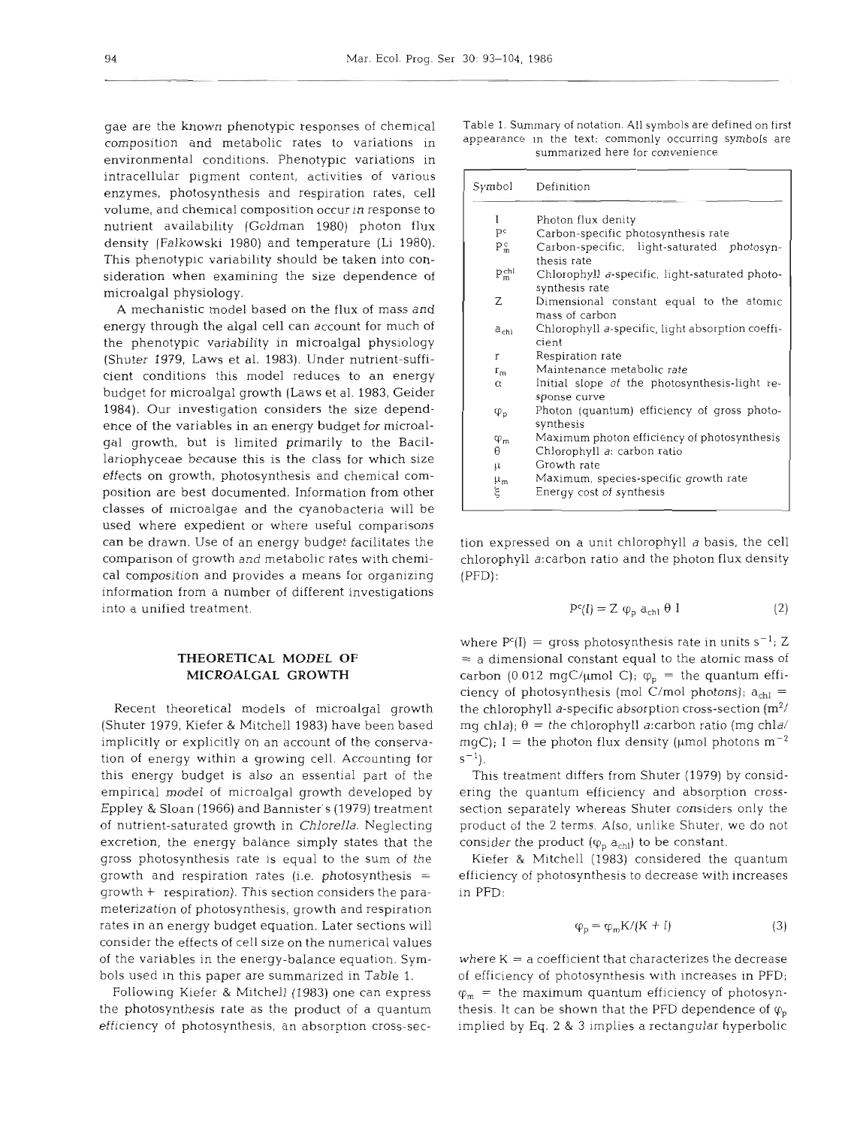gae are the known phenotypic responses of chemical composition and metabolic rates to variations in appearance in the text; commonly occurring symbols are environmental conditions. Phenotypic variations in intracellular pigment content, activities of various enzymes, photosynthesis and respiration rates, cell volume, and chemical composition occur in response to nutrient availability (Goldman 1980) photon flux density (Falkowski 1980) and temperature (Li 1980). This phenotypic variability should be taken into consideration when examining the size dependence of microalgal physiology.

A mechanistic model based on the flux of mass and energy through the algal cell can account for much of the phenotypic variability in microalgal physiology (Shuter 1979, Laws et al. 1983). Under nutrient-sufficient conditions this model reduces to an energy budget for microalgal growth (Laws et al. 1983, Geider 1984). Our investigation considers the size dependence of the variables in an energy budget for microalgal growth, but is limited primarily to the Bacillariophyceae because this is the class for which size effects on growth, photosynthesis and chemical composition are best documented. Information from other classes of microalgae and the cyanobacteria will be used where expedient or where useful comparisons can be drawn. Use of an energy budget facilitates the tion expressed on a unit chlorophyll a basis, the cell comparison of growth and metabolic rates with chemi-<br>chlorophyll a:carbon ratio and the photon flux density cal composition and provides a means for organizing information from a number of different investigations into a unified treatment.

# **THEORETICAL MODEL OF MICROALGAL GROWTH**

(Shuter 1979, Kiefer & Mitchell 1983) have been based mg chla);  $\theta =$  the chlorophyll a:carbon ratio (mg chla<sup>/</sup> implicitly or explicitly on an account of the conserva-  $mgC$ ; I = the photon flux density ( $\mu$ mol photons  $m^{-2}$ tion of energy within a growing cell. Accounting for  $s^{-1}$ ). this energy budget is also an essential part of the empirical model of microalgal growth developed by Eppley & Sloan (1966) and Bannister's (1979) treatment of nutrient-saturated growth in *Chlorella.* Neglecting excretion, the energy balance simply states that the consider the product  $(\varphi_p a_{chl})$  to be constant. gross photosynthesis rate is equal to the sum of the growth and respiration rates (i.e. photosynthesis  $=$  efficiency of photosynthesis to decrease with increases growth + respiration). This section considers the parameterization of photosynthesis, growth and respiration rates in an energy budget equation. Later sections will consider the effects of cell size on the numerical values of the variables in the energy-balance equation. Sym- $\qquad$  where  $K = a$  coefficient that characterizes the decrease bols used in this paper are summarized in Table 1.

the photosynthesis rate as the product of a quantum thesis. It can be shown that the PFD dependence of  $\varphi_{\rm p}$ efficiency of photosynthesis, an absorption cross-sec-

Table **1.** Summary of notation. All symbols are defined on first appearance in the text; commonly occurring symbols are summarized here for convenience

| I                  | Photon flux denity                                               |
|--------------------|------------------------------------------------------------------|
| pc                 | Carbon-specific photosynthesis rate                              |
| $P_m^c$            | Carbon-specific, light-saturated photosyn-<br>thesis rate        |
| $P_m^{\text{eff}}$ | Chlorophyll a-specific, light-saturated photo-<br>synthesis rate |
| Ζ                  | Dimensional constant equal to the atomic<br>mass of carbon       |
| $a_{\text{ch1}}$   | Chlorophyll a-specific, light absorption coeffi-<br>cient        |
| r                  | Respiration rate                                                 |
| $r_{m}$            | Maintenance metabolic rate                                       |
| $\alpha$           | Initial slope of the photosynthesis-light re-<br>sponse curve    |
| $\varphi_{p}$      | Photon (quantum) efficiency of gross photo-<br>synthesis         |
| $\varphi_m$        | Maximum photon efficiency of photosynthesis                      |
| θ                  | Chlorophyll a: carbon ratio                                      |
| μ                  | Growth rate                                                      |
| $\mu_{m}$          | Maximum, species-specific growth rate                            |
| ξ                  | Energy cost of synthesis                                         |

$$
P^{c}(I) = Z \varphi_{p} a_{chl} \theta I
$$
 (2)

Recent theoretical models of microalgal growth the chlorophyll a-specific absorption cross-section  $(m^2/$ where  $P^{c}(I)$  = gross photosynthesis rate in units s<sup>-1</sup>; Z = a dimensional constant equal to the atomic mass of carbon (0.012 mgC/µmol C);  $\varphi_p$  = the quantum effi-<br>ciency of photosynthesis (mol C/mol photons);  $a_{\text{ch}}$  =

hlorophyll a-specific absorption cross-section ( $m^2$ /<br>hla);  $\theta$  = the chlorophyll a:carbon ratio (mg chla<sup>/</sup><br>); I = the photon flux density ( $\mu$ mol photons m<sup>-2</sup><br>is treatment differs from Shuter (1979) by consid-<br>the q

$$
\varphi_{\rm p} = \varphi_{\rm m} \mathbf{K} / (\mathbf{K} + \mathbf{I}) \tag{3}
$$

Following Kiefer & Mitchell (1983) one can express  $\varphi_m =$  the maximum quantum efficiency of photosynimplied by Eq. 2 & 3 implies a rectangular hyperbolic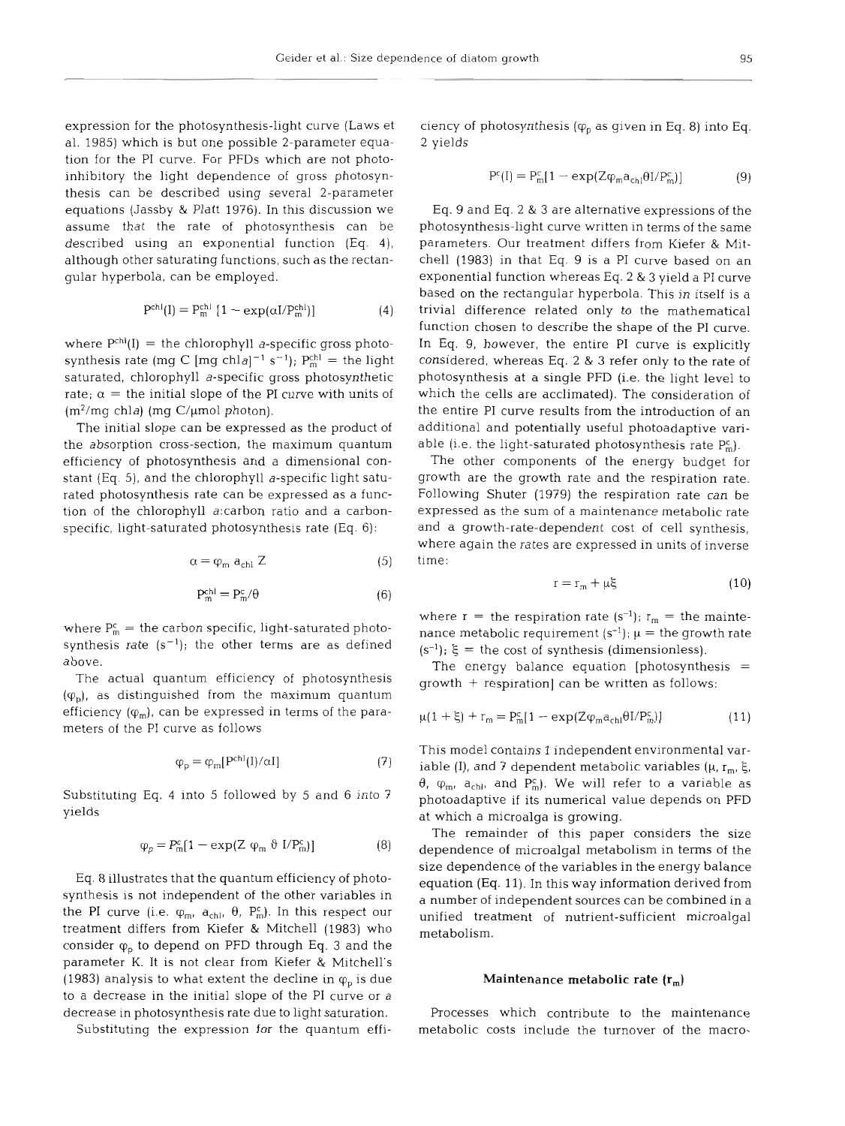expression for the photosynthesis-light curve (Laws et al. 1985) which is but one possible 2-parameter equation for the PI curve. For PFDs which are not photoinhibitory the light dependence of gross photosynthesis can be described using several 2-parameter equations (Jassby & Platt 1976). In this discussion we assume that the rate of photosynthesis can be described using an exponential function (Eq. **4),**  although other saturating functions, such as the rectangular hyperbola, can be employed.

$$
Pchl(I) = Pmchl [1 - exp(αI/Pmchl)]
$$
 (4)

where  $P<sup>ch</sup>(I)$  = the chlorophyll *a*-specific gross photosynthesis rate (mg C [mg chla]<sup>-1</sup> s<sup>-1</sup>);  $P_m^{ch}$  = the light saturated, chlorophyll a-specific gross photosynthetic rate;  $\alpha$  = the initial slope of the PI curve with units of  $(m^2/mg \text{ chla})$  (mg C/µmol photon).

The initial slope can be expressed as the product of the absorption cross-section, the maximum quantum efficiency of photosynthesis and a dimensional constant (Eq. *5),* and the chlorophyll a-specific light saturated photosynthesis rate can be expressed as a function of the chlorophyll a:carbon ratio and a carbonspecific, light-saturated photosynthesis rate (Eq. 6):

$$
\alpha = \varphi_{\rm m} \; a_{\rm chl} \; Z \tag{5}
$$

$$
P_m^{chl} = P_m^c / \theta \tag{6}
$$

where  $P_m^c$  = the carbon specific, light-saturated photosynthesis rate  $(s^{-1})$ ; the other terms are as defined above.

The actual quantum efficiency of photosynthesis  $(\varphi_n)$ , as distinguished from the maximum quantum efficiency  $(\varphi_m)$ , can be expressed in terms of the parameters of the PI curve as follows

$$
\varphi_{\rm p} = \varphi_{\rm m}[\mathbf{P}^{\rm ch}(\mathbf{I})/\alpha \mathbf{I}] \tag{7}
$$

Substituting Eq. 4 Into 5 followed by 5 and 6 into 7 yields

$$
\varphi_{\mathsf{p}} = \mathsf{P}_{\mathsf{m}}^{\mathsf{c}}[1 - \exp(Z \varphi_{\mathsf{m}} \vartheta I/\mathsf{P}_{\mathsf{m}}^{\mathsf{c}})] \tag{8}
$$

Eq. 8 illustrates that the quantum efficiency of photosynthesis is not independent of the other variables in the PI curve (i.e.  $\varphi_m$ ,  $a_{\text{chl}}$ ,  $\theta$ ,  $P_m^c$ ). In this respect our treatment differs from Kiefer & Mitchell (1983) who consider  $\varphi_n$  to depend on PFD through Eq. 3 and the parameter K. It is not clear from Kiefer & Mitchell's (1983) analysis to what extent the decline in  $\varphi_{\rm n}$  is due to a decrease in the initial slope of the PI curve or a decrease in photosynthesis rate due to light saturation.

Substituting the expression for the quantum effi-

$$
P^{c}(I) = P_{m}^{c}[1 - \exp(Z\varphi_{m}a_{ch}]\theta I/P_{m}^{c})]
$$
\n(9)

ciency of photosynthesis ( $\varphi_p$  as given in Eq. 8) into Eq.<br>2 yields<br>  $P^{c}[l] = P^{c}_{m}[1 - \exp(Z\varphi_m a_{ch} \theta l / P^{c}_{m})]$  (9)<br>
Eq. 9 and Eq. 2 & 3 are alternative expressions of the<br>
photosynthesis-light curve written in terms of th

$$
r = r_m + \mu \xi \tag{10}
$$

$$
\mu(1+\xi) + r_m = P_m^c[1 - \exp(Z\varphi_m a_{chl}\theta I/P_m^c)]
$$
\n(11)

growth + respiration] can be written as follows:<br>  $\mu(1 + \xi) + r_m = P_m^c[1 - \exp(Z\varphi_m a_{ch} \theta I/P_m^c)]$  (11)<br>
This model contains 1 independent environmental var-<br>
This model contains 1 independent environmental var-<br>
iable (I), and 7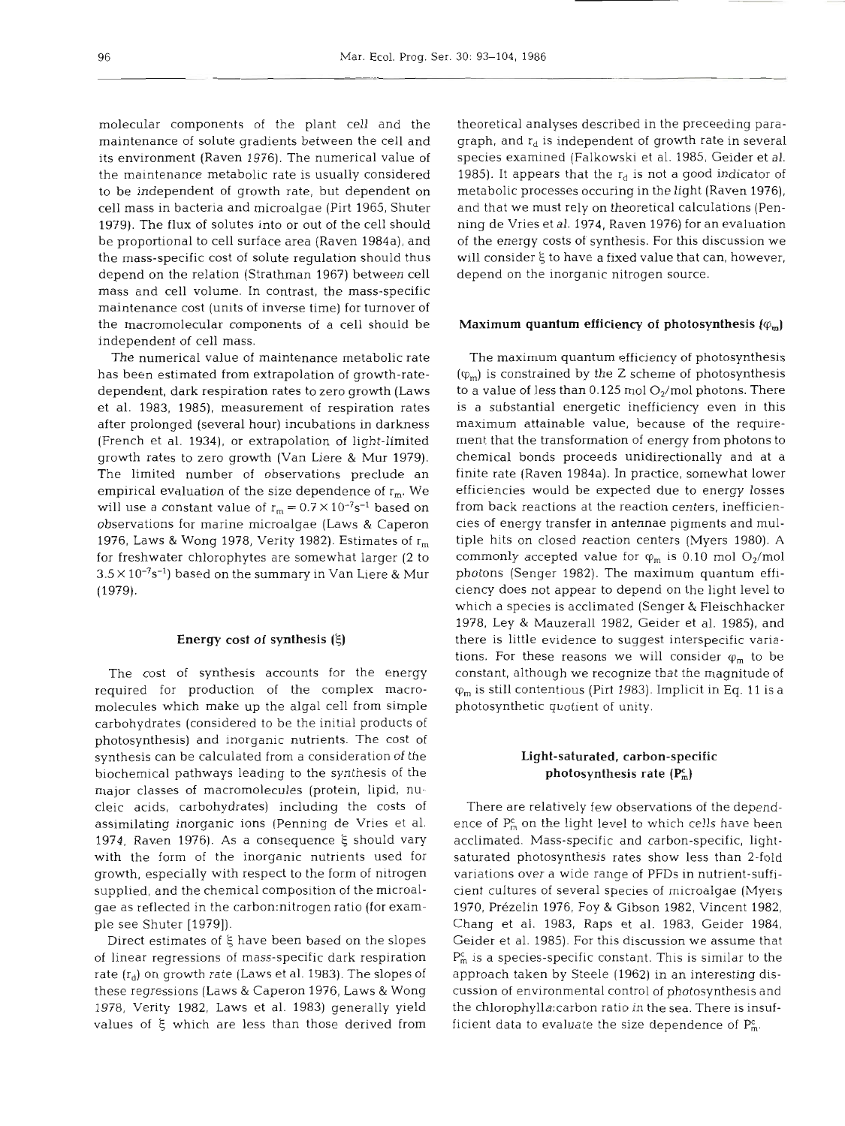molecular components of the plant cell and the maintenance of solute gradients between the cell and its environment (Raven 1976). The numerical value of the maintenance metabolic rate is usually considered to be independent of growth rate, but dependent on cell mass in bacteria and microalgae (Pirt 1965, Shuter 1979). The flux of solutes into or out of the cell should be proportional to cell surface area (Raven 1984a), and the mass-specific cost of solute regulation should thus depend on the relation (Strathman 1967) between cell mass and cell volume. In contrast, the mass-specific maintenance cost (units of inverse time) for turnover of the macromolecular components of a cell should be independent of cell mass.

The numerical value of maintenance metabolic rate has been estimated from extrapolation of growth-ratedependent, dark respiration rates to zero growth (Laws et al. 1983, 1985), measurement of respiration rates after prolonged (several hour) incubations in darkness (French et al. 1934), or extrapolation of light-limited growth rates to zero growth (Van Liere & Mur 1979). The limited number of observations preclude an empirical evaluation of the size dependence of  $r_m$ . We will use a constant value of  $r_m = 0.7 \times 10^{-7} s^{-1}$  based on observations for marine microalgae (Laws & Caperon 1976, Laws & Wong 1978, Verity 1982). Estimates of  $r_m$ for freshwater chlorophytes are somewhat larger (2 to  $3.5 \times 10^{-7}$ s<sup>-1</sup>) based on the summary in Van Liere & Mur (1979).

#### Energy cost of synthesis *(5)*

The cost of synthesis accounts for the energy required for production of the complex macromolecules which make up the algal cell from simple carbohydrates (considered to be the initial products of photosynthesis) and inorganic nutrients. The cost of synthesis can be calculated from a consideration of the biochemical pathways leading to the synthesis of the major classes of macromolecules (protein, lipid, nucleic acids, carbohydrates) including the costs of assimilating inorganic ions (Penning de Vries et al. 1974, Raven 1976). As a consequence  $\xi$  should vary with the form of the inorganic nutrients used for growth, especially with respect to the form of nitrogen supplied, and the chemical composition of the microalgae as reflected in the carbon:nitrogen ratio (for example see Shuter [1979]).

Direct estimates of *5* have been based on the slopes of linear regressions of mass-specific dark respiration rate  $(r_d)$  on growth rate (Laws et al. 1983). The slopes of these regressions (Laws & Caperon 1976, Laws & Wong 1978, Verity 1982, Laws et al. 1983) generally yield values of **E** which are less than those derived from

theoretical analyses described in the preceeding paragraph, and  $r_d$  is independent of growth rate in several species examined (Falkowski et al. 1985, Geider et al. 1985). It appears that the  $r_d$  is not a good indicator of metabolic processes occuring in the light (Raven 1976), and that we must rely on theoretical calculations (Penning de Vries et al. 1974, Raven 1976) for an evaluation of the energy costs of synthesis. For this discussion we will consider *5* to have a fixed value that can, however, depend on the inorganic nitrogen source.

#### Maximum quantum efficiency of photosynthesis  $(\varphi_m)$

The maximum quantum efficiency of photosynthesis  $(\varphi_m)$  is constrained by the Z scheme of photosynthesis to a value of less than 0.125 mol  $O_2$ /mol photons. There is a substantial energetic inefficiency even in this maximum attainable value, because of the requirement that the transformation of energy from photons to chemical bonds proceeds unidirectionally and at a finite rate (Raven 1984a). In practice, somewhat lower efficiencies would be expected due to energy losses from back reactions at the reaction centers, inefficiencies of energy transfer in antennae pigments and multiple hits on closed reaction centers (Myers 1980). A commonly accepted value for  $\varphi_m$  is 0.10 mol O<sub>2</sub>/mol photons (Senger 1982). The maximum quantum efficiency does not appear to depend on the light level to which a species is acclimated (Senger & Fleischhacker 1978, Ley & Mauzerall 1982, Geider et al. 1985), and there is little evidence to suggest interspecific variations. For these reasons we will consider  $\varphi_m$  to be constant, although we recognize that the magnitude of  $\varphi_m$  is still contentious (Pirt 1983). Implicit in Eq. 11 is a photosynthetic quotient of unity.

# Light-saturated, carbon-specific photosynthesis rate  $(P_m^c)$

There are relatively few observations of the dependence of  $P_m^c$  on the light level to which cells have been acclimated. Mass-specific and carbon-specific, lightsaturated photosynthesis rates show less than 2-fold variations over a wide range of PFDs in nutrient-sufficient cultures of several species of microalgae (Myers 1970, Prezelin 1976, Foy & Gibson 1982, Vincent 1982, Chang et al. 1983, Raps et al. 1983, Geider 1984, Geider et al. 1985). For this discussion we assume that  $P_m^c$  is a species-specific constant. This is similar to the approach taken by Steele (1962) in an interesting discussion of environmental control of photosynthesis and the chlorophy1la:carbon ratio in the sea. There is insufficient data to evaluate the size dependence of  $P_m^c$ .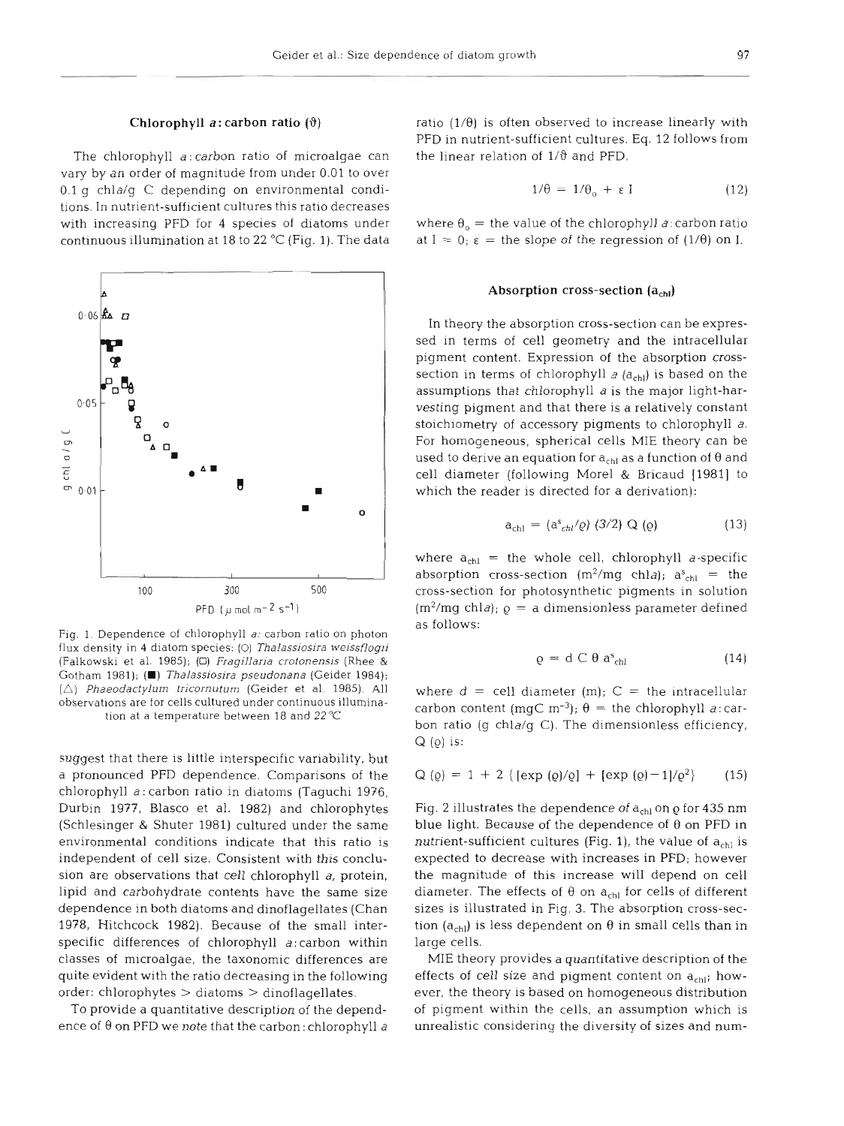The chlorophyll a: carbon ratio of microalgae can the linear relation of  $1/\vartheta$  and PFD. vary by an order of magnitude from under 0.01 to over 0.1 g chla/g C depending on environmental conditions. In nutrient-sufficient cultures this ratio decreases with increasing PFD for 4 species of diatoms under where  $\theta_0 =$  the value of the chlorophyll a: carbon ratio



Fig. 1. Dependence of chlorophyll *a:* carbon ratio on photon flux density in 4 diatom species: (O) Thalassiosira weissflogii (Falkowski et al. 1985); (0) *Fragillaria crotonensis* (Rhee & Gotham 1981); **(m)** *Thalassiosira pseudonana* (Geider 1984): *(C) Phaeodactylum tricornuturn* (Gelder et al. 1985). All observations are for cells cultured under continuous illumination at a temperature between 18 and **22°C** 

suggest that there is little interspecific variability, but a pronounced **PFD** dependence. Comparisons of the chlorophyll a: carbon ratio in diatoms (Taguchi 1976, Durbin 1977, Blasco et al. 1982) and chlorophytes (Schlesinger & Shuter 1981) cultured under the same environmental conditions indicate that this ratio is independent of cell size. Consistent with this conclusion are observations that cell chlorophyll a, protein, lipid and carbohydrate contents have the same size dependence in both diatoms and dinoflagellates (Chan 1978, Hitchcock 1982). Because of the small interspecific differences of chlorophyll a:carbon within classes of microalgae, the taxonomic differences are quite evident with the ratio decreasing in the following order: chlorophytes > diatoms > dinoflagellates.

To provide a quantitative description of the dependence of  $\theta$  on PFD we note that the carbon: chlorophyll a

**Chlorophyll** *a***: carbon ratio**  $(\theta)$  ratio  $(1/\theta)$  is often observed to increase linearly with PFD in nutrient-sufficient cultures. Eq. 12 follows from

$$
1/\theta = 1/\theta_o + \varepsilon I \tag{12}
$$

continuous illumination at 18 to 22 °C (Fig. 1). The data at  $I = 0$ ;  $\varepsilon =$  the slope of the regression of (1/0) on I.

# Absorption cross-section (a<sub>chl</sub>)

In theory the absorption cross-section can be expressed in terms of cell geometry and the intracellular pigment content. Expression of the absorption crosssection in terms of chlorophyll  $a$  ( $a<sub>ch</sub>$ ) is based on the assumptions that chlorophyll a is the major light-harvesting pigment and that there is a relatively constant stoichiometry of accessory pigments to chlorophyll a. For homogeneous, spherical cells MIE theory can be used to derive an equation for  $\mathsf{a}_\mathsf{chl}$  as a function of  $\theta$  and cell diameter (following Morel & Bricaud [1981] to which the reader is directed for a derivation):

$$
a_{\rm chl} = (a_{\rm chl}^s / \varrho) (3/2) Q (\varrho)
$$
 (13)

where  $a_{ch1}$  = the whole cell, chlorophyll *a*-specific absorption cross-section (m<sup>2</sup>/mg chla);  $a_{\text{ch}}^s =$  the cross-section for photosynthetic pigments in solution  $(m^2/mg \text{ chla})$ ;  $\varrho = a \text{ dimensionless parameter defined}$ as follows:

$$
\varrho = d \, C \, \theta \, a^s_{\text{child}} \tag{14}
$$

where  $d =$  cell diameter  $(m)$ ;  $C =$  the intracellular carbon content (mgC m<sup>-3</sup>);  $\theta$  = the chlorophyll *a*: carbon ratio (g chla/g C). The dimensionless efficiency,  $Q$  (o) is:

$$
Q(\varrho) = 1 + 2 \{ [\exp (\varrho)/\varrho] + [\exp (\varrho) - 1]/\varrho^2 \} \qquad (15)
$$

Fig. 2 illustrates the dependence of a<sub>chl</sub> on  $\varrho$  for 435 nm blue light. Because of the dependence of  $\theta$  on PFD in nutrient-sufficient cultures (Fig. 1), the value of  $a_{ch}$  is expected to decrease with increases in PFD; however the magnitude of this increase will depend on cell diameter. The effects of  $\theta$  on  $a_{chl}$  for cells of different sizes is illustrated in Fig. **3.** The absorption cross-section ( $a<sub>ch</sub>$ ) is less dependent on  $\theta$  in small cells than in large cells.

MIE theory provides a quantitative description of the effects of cell size and pigment content on  $a_{\text{ch}}$ ; however, the theory is based on homogeneous distribution of pigment within the cells, an assumption which is unrealistic considering the diversity of sizes and num-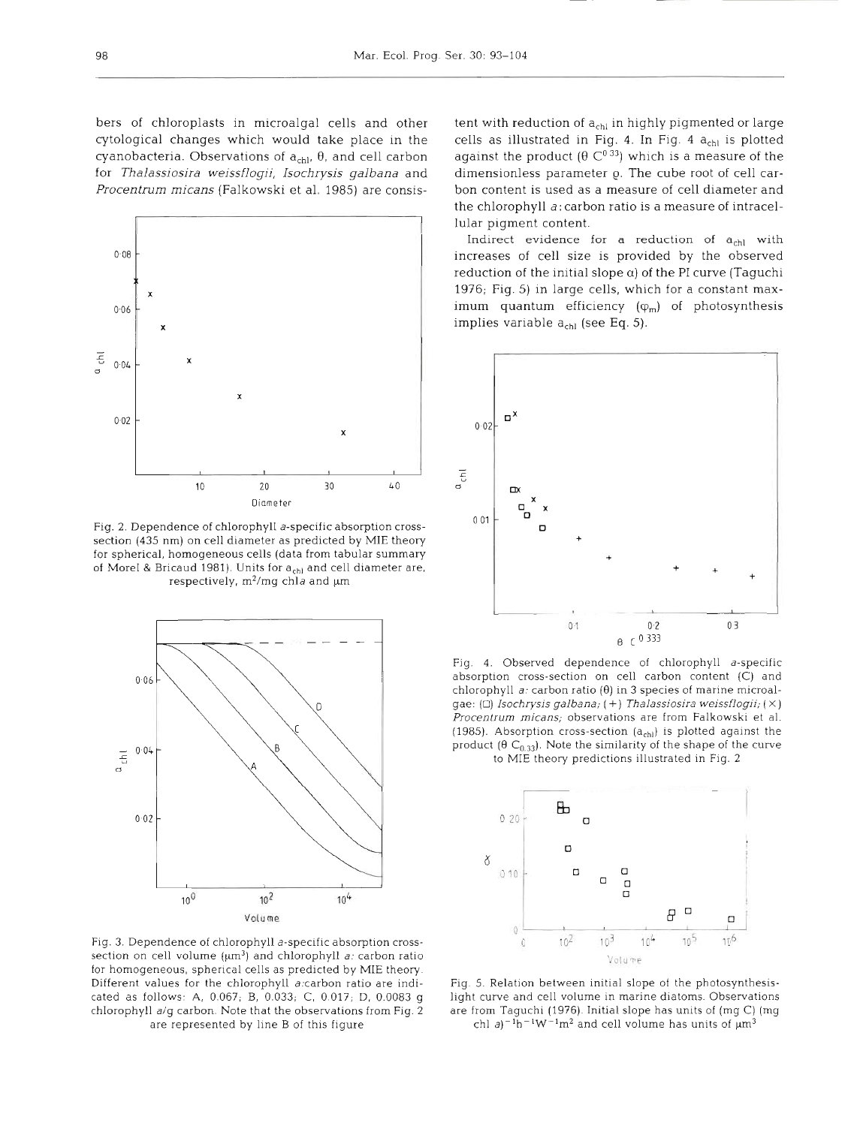bers of chloroplasts in microalgal cells and other cytological changes which would take place in the cyanobacteria. Observations of  $a<sub>ch1</sub>$ ,  $\theta$ , and cell carbon for *Thalassiosira weissflogii, Isochrysis galbana* and *Procentrum micans* (Falkowski et al. 1985) are consis-



Fig. **2.** Dependence of chlorophyll a-specific absorption crosssection (435 nm) on cell diameter as predicted by MIE theory for spherical, homogeneous cells (data from tabular summary of Morel & Bricaud 1981). Units for  $a_{chl}$  and cell diameter are, respectively,  $m^2/mg$  chla and  $\mu$ m



Fig. 3. Dependence of chlorophyll a-specific absorption crosssection on cell volume  $({\mu}m^3)$  and chlorophyll a: carbon ratio for homogeneous, spherical cells as predicted by MIE theory Different values for the chlorophyll atcarbon ratio are indicated as follows. A, 0.067; B, 0.033; C, 0 017; D, 0.0083 g chlorophyll a/g carbon. Note that the observations from Fig. 2 are represented by line B of this figure

tent with reduction of  $a_{chl}$  in highly pigmented or large<br>cells as illustrated in Fig. 4. In Fig. 4  $a_{chl}$  is plotted<br>against the product ( $\theta$  C<sup>0</sup><sup>33</sup>) which is a measure of the<br>dimensionless parameter  $\varrho$ . The cub the chlorophyll *a:* carbon ratio is a measure of intracellular pigment content.

Indirect evidence for a reduction of  $a<sub>chl</sub>$  with increases of cell size is provided by the observed reduction of the initial slope  $\alpha$ ) of the PI curve (Taguchi 1976; Fig. 5) in large cells, which for a constant maximum quantum efficiency  $(\varphi_m)$  of photosynthesis implies variable  $a_{chl}$  (see Eq. 5).



Fig. 4. Observed dependence of chlorophyll a-specific absorption cross-section on cell carbon content (C) and chlorophyll  $a$ : carbon ratio ( $\theta$ ) in 3 species of marine microalgae: ( $\Box$ ) Isochrysis galbana; (+) Thalassiosira weissflogii; ( $\times$ ) Procentrum micans; observations are from Falkowski et al. (1985). Absorption cross-section  $(a<sub>ch</sub>)$  is plotted against the product ( $\theta$  C<sub>0.33</sub>). Note the similarity of the shape of the curve to MIE theory predictions illustrated in Fig. 2



Fig. 5. Relation between initial slope of the photosynthesislight curve and cell volume in marine diatoms. Observations are from Taguchi (1976). Initial slope has units of (mg C) (mg chl  $a$ )<sup>-1</sup>h<sup>-1</sup>W<sup>-1</sup>m<sup>2</sup> and cell volume has units of  $\mu$ m<sup>3</sup>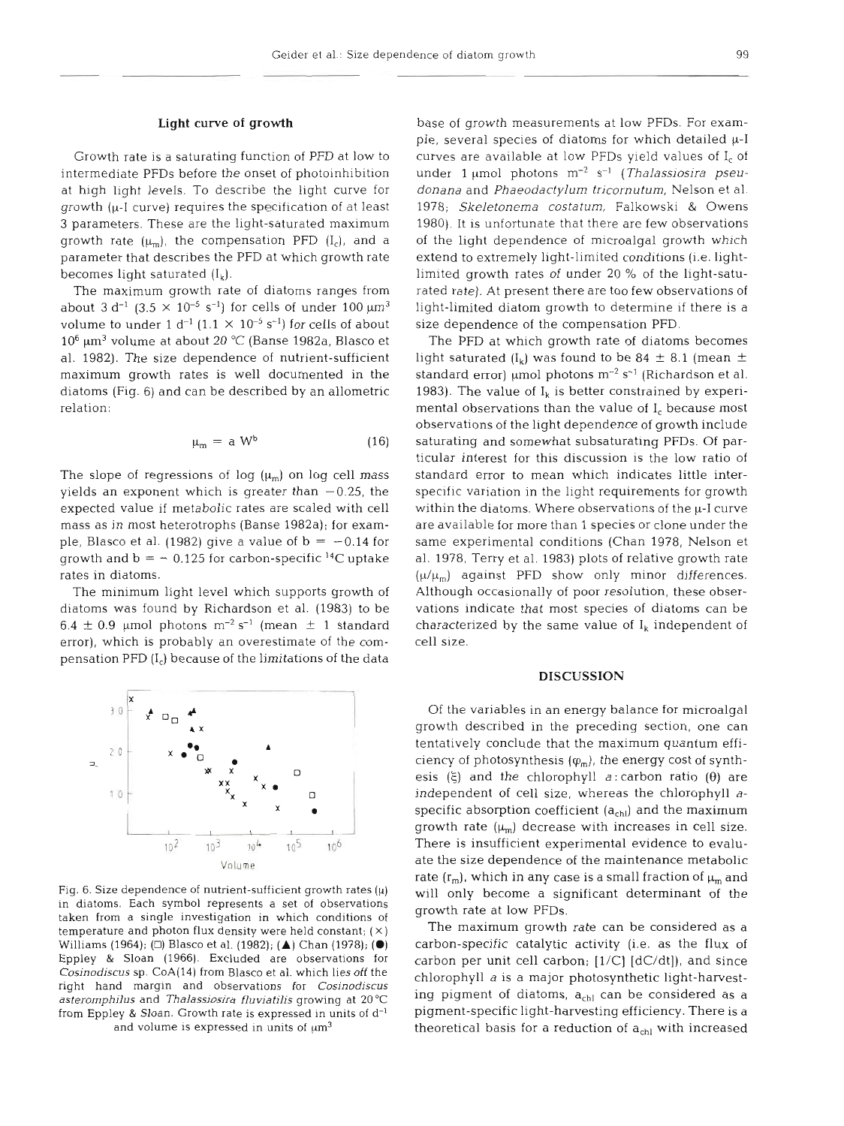#### **Light** curve **of growth**

Growth rate is a saturating function of PFD at low to intermediate PFDs before the onset of photoinhibition at high light levels. To describe the light curve for growth (p-I curve) requires the specification of at least 3 parameters. These are the light-saturated maximum growth rate  $(\mu_m)$ , the compensation PFD  $(I_c)$ , and a parameter that describes the PFD at which growth rate becomes light saturated  $(I_k)$ .

The maximum growth rate of diatoms ranges from about 3 d<sup>-1</sup> (3.5  $\times$  10<sup>-5</sup> s<sup>-1</sup>) for cells of under 100  $\mu$ m<sup>3</sup> volume to under 1 d<sup>-1</sup> (1.1  $\times$  10<sup>-5</sup> s<sup>-1</sup>) for cells of about  $10^6$   $\mu$ m<sup>3</sup> volume at about 20 °C (Banse 1982a, Blasco et al. 1982). The size dependence of nutrient-sufficient maximum growth rates is well documented in the diatoms (Fig. 6) and can be described by an allometric relation:

$$
\mu_{\rm m} = a \, \mathrm{W}^{\rm b} \tag{16}
$$

The slope of regressions of log  $(\mu_m)$  on log cell mass yields an exponent which is greater than  $-0.25$ , the expected value if metabolic rates are scaled with cell mass as in most heterotrophs (Banse 1982a); for example, Blasco et al. (1982) give a value of  $b = -0.14$  for growth and  $b = -0.125$  for carbon-specific <sup>14</sup>C uptake rates in diatoms.

The minimum light level which supports growth of diatoms was found by Richardson et al. (1983) to be  $6.4 \pm 0.9$  µmol photons m<sup>-2</sup> s<sup>-1</sup> (mean  $\pm$  1 standard error), which is probably an overestimate of the compensation PFD (I,) because of the limitations of the data



Fig. 6. Size dependence of nutrient-sufficient growth rates  $(\mu)$ in diatoms. Each symbol represents a set of observations taken from a single investigation in which conditions of temperature and photon flux density were held constant; **(X)**  Williams (1964); (D) Blasco et al. (1982); (A) Chan (1978); **(0)**  Eppley & Sloan (1966). Excluded are observations for *Cosinodiscus* sp. CoA(14) from Blasco et al. which lies off the right hand margin and observations for *Cosjnodjscus asteromphilus* and *Thalassiosira fluviatilis* growing at 20°C from Eppley & Sloan. Growth rate is expressed in units of d<sup>-1</sup> and volume is expressed in units of  $\mu$ m<sup>3</sup>

base of growth measurements at low PFDs. For example, several species of diatoms for which detailed  $\mu$ -I curves are available at low PFDs yield values of I<sub>c</sub> of under 1  $\mu$ mol photons m<sup>-2</sup> s<sup>-1</sup> (*Thalassiosira pseu*donana and Phaeodactylum tricornutum, Nelson et al. 1978; Skeletonema costatum, Falkowski & Owens 1980). It is unfortunate that there are few observations of the light dependence of microalgal growth which extend to extremely light-limited conditions (i.e. lightlimited growth rates of under 20 % of the light-saturated rate). At present there are too few observations of light-limited diatom growth to determine if there is a size dependence of the compensation PFD.

The PFD at which growth rate of diatoms becomes light saturated  $(I_k)$  was found to be 84  $\pm$  8.1 (mean  $\pm$ standard error)  $\mu$ mol photons m $^{-2}$  s<sup>-1</sup> (Richardson et al. 1983). The value of  $I_k$  is better constrained by experimental observations than the value of  $I_c$  because most observations of the light dependence of growth include saturating and somewhat subsaturating PFDs. Of particular interest for this discussion is the low rat standard error to mean which indicates little interspecific variation in the light requirements for growth within the diatoms. Where observations of the  $\mu$ -I curve are available for more than 1 species or clone under the same experimental conditions (Chan 1978, Nelson et al. 1978, Terry et al. 1983) plots of relative growth rate  $(\mu/\mu_m)$  against PFD show only minor differences. Although occasionally of poor resolution, these observations indicate that most species of diatoms can be characterized by the same value of  $I_k$  independent of . cell s

#### **DISCUSS**

Of the variables in an energy balance for microalgal growth described in the preceding section, one can tentatively conclude that the maximum quantum efficiency of photosynthesis  $(\varphi_m)$ , the energy cost of synthesis **(E)** and the chlorophyll a: carbon ratio **(0)** are independent of cell size, whereas the chlorophyll aspecific absorption coefficient  $(a_{ch})$  and the maximum growth rate  $(\mu_m)$  decrease with increases in cell size. There is insufficient experimental evidence to evaluate the size dependence of the maintenance metabolic rate  $(r_m)$ , which in any case is a small fraction of  $\mu_m$  and will only become a significant determinant of the growth rate at low PFDs.

The maximum growth rate can be considered as a carbon-specific catalytic activity (i.e. as the flux of carbon per unit cell carbon;  $[1/C]$   $[dC/dt]$ , and since chlorophyll a is a major photosynthetic light-harvesting pigment of diatoms,  $a<sub>chl</sub>$  can be considered as a pigment-specific light-harvesting efficiency. There is a theoretical basis for a reduction of  $a<sub>chl</sub>$  with increased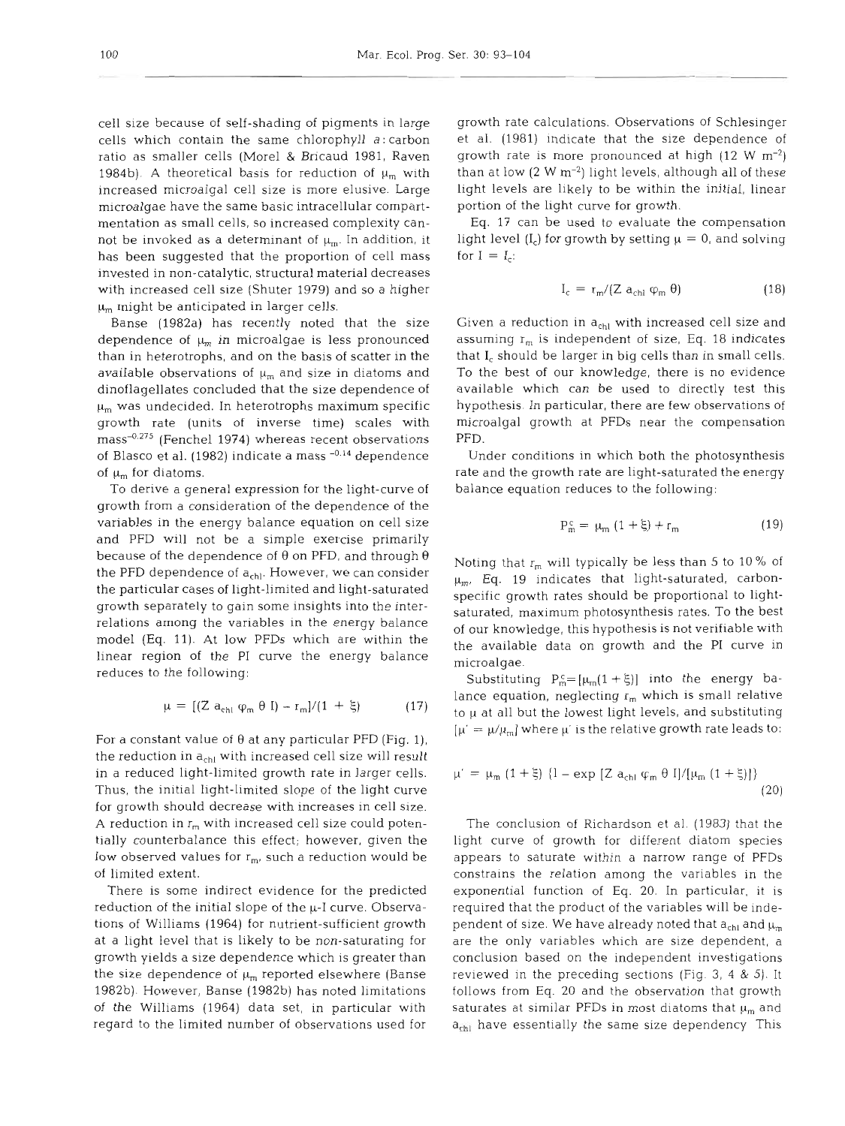cell size because of self-shading of pigments in large cells which contain the same chlorophyll a:carbon ratio as smaller cells (More1 & Bricaud 1981, Raven 1984b). A theoretical basis for reduction of  $\mu_m$  with increased microalgal cell size is more elusive. Large microalgae have the same basic intracellular compartmentation as small cells, so increased complexity cannot be invoked as a determinant of  $\mu_m$ . In addition, it has been suggested that the proportion of cell mass invested in non-catalytic, structural material decreases with increased cell size (Shuter 1979) and so a higher  $\mu_m$  might be anticipated in larger cells.

Banse (1982a) has recently noted that the size dependence of  $\mu_m$  in microalgae is less pronounced than in heterotrophs, and on the basis of scatter in the available observations of  $\mu_m$  and size in diatoms and dinoflagellates concluded that the size dependence of  $\mu_m$  was undecided. In heterotrophs maximum specific growth rate (units of inverse time) scales with mass<sup>-0.275</sup> (Fenchel 1974) whereas recent observations of Blasco et al. (1982) indicate a mass  $-0.14$  dependence of  $\mu_m$  for diatoms.

To derive a general expression for the light-curve of growth from a consideration of the dependence of the variables in the energy balance equation on cell size and PFD will not be a simple exercise primarily because of the dependence of **0** on PFD, and through **0**  the PFD dependence of  $a_{\text{ch}}$ . However, we can consider the particular cases of light-limited and light-saturated growth separately to gain some insights into the interrelations among the variables in the energy balance model (Eq. 11). At low PFDs which are within the linear region of the PI curve the energy balance reduces to the following:

$$
\mu = [(Z a_{\text{chl}} \varphi_m \theta I) - r_m]/(1 + \xi) \tag{17}
$$

For a constant value of **0** at any particular PFD (Fig. l), the reduction in  $a_{\text{chl}}$  with increased cell size will result in a reduced light-limited growth rate in larger cells. Thus, the initial light-limited slope of the light curve for growth should decrease with increases in cell size. A reduction in  $r_m$  with increased cell size could potentially counterbalance this effect; however, given the low observed values for  $r_m$ , such a reduction would be of limited extent.

There is some indirect evidence for the predicted reduction of the initial slope of the  $\mu$ -I curve. Observations of Williams (1964) for nutrient-sufficient growth at a light level that is likely to be non-saturating for growth yields a size dependence which is greater than the size dependence of  $\mu_m$  reported elsewhere (Banse 1982b). However, Banse (1982b) has noted limitations of the Williams (1964) data set, in particular with regard to the limited number of observations used for growth rate calculations. Observations of Schlesinger et al. (1981) indicate that the size dependence of growth rate is more pronounced at high  $(12 \text{ W m}^{-2})$ than at low  $(2 \text{ W m}^{-2})$  light levels, although all of these light levels are likely to be within the initial, linear portion of the light curve for growth.

Eq. 17 can be used to evaluate the compensation light level  $(I_c)$  for growth by setting  $\mu = 0$ , and solving for  $I = I_c$ :

$$
I_c = r_m / (Z a_{chl} \varphi_m \theta) \tag{18}
$$

Given a reduction in  $a<sub>chl</sub>$  with increased cell size and assuming  $r_m$  is independent of size, Eq. 18 indicates that  $I_c$  should be larger in big cells than in small cells. To the best of our knowledge, there is no evidence available which can be used to directly test this hypothesis. In particular, there are few observations of microalgal growth at PFDs near the compensation PFD.

Under conditions in which both the photosynthesis rate and the growth rate are light-saturated the energy balance equation reduces to the following:

$$
P_m^c = \mu_m (1 + \xi) + r_m \tag{19}
$$

Noting that  $r_m$  will typically be less than 5 to 10% of  $\mu_{\rm m}$ . Eq. 19 indicates that light-saturated, carbonspecific growth rates should be proportional to lightsaturated, maximum photosynthesis rates. To the best of our knowledge, this hypothesis is not verifiable with the available data on growth and the PI curve in microalgae.

Substituting  $P_m^c = [\mu_m(1 + \xi)]$  into the energy balance equation, neglecting  $r_m$  which is small relative to  $\mu$  at all but the lowest light levels, and substituting  $[\mu' = \mu/\mu_m]$  where  $\mu'$  is the relative growth rate leads to:

$$
\mu' = \mu_m (1 + \xi) \{1 - \exp \left[Z a_{\text{chl}} \varphi_m \theta I\right] / \left[\mu_m (1 + \xi)\right]\}
$$
\n(20)

The conclusion of Richardson et al. (1983) that the light curve of growth for different diatom species appears to saturate within a narrow range of PFDs constrains the relation among the variables in the exponential function of Eq. 20. In particular, it is required that the product of the variables will be independent of size. We have already noted that  $a_{\text{chl}}$  and  $\mu_{\text{m}}$ are the only variables which are size dependent, a conclusion based on the independent investigations reviewed in the preceding sections (Fig. **3,** 4 & 5). It follows from Eq. 20 and the observation that growth saturates at similar PFDs in most diatoms that  $\mu_m$  and  $a_{\rm{cell}}$  have essentially the same size dependency This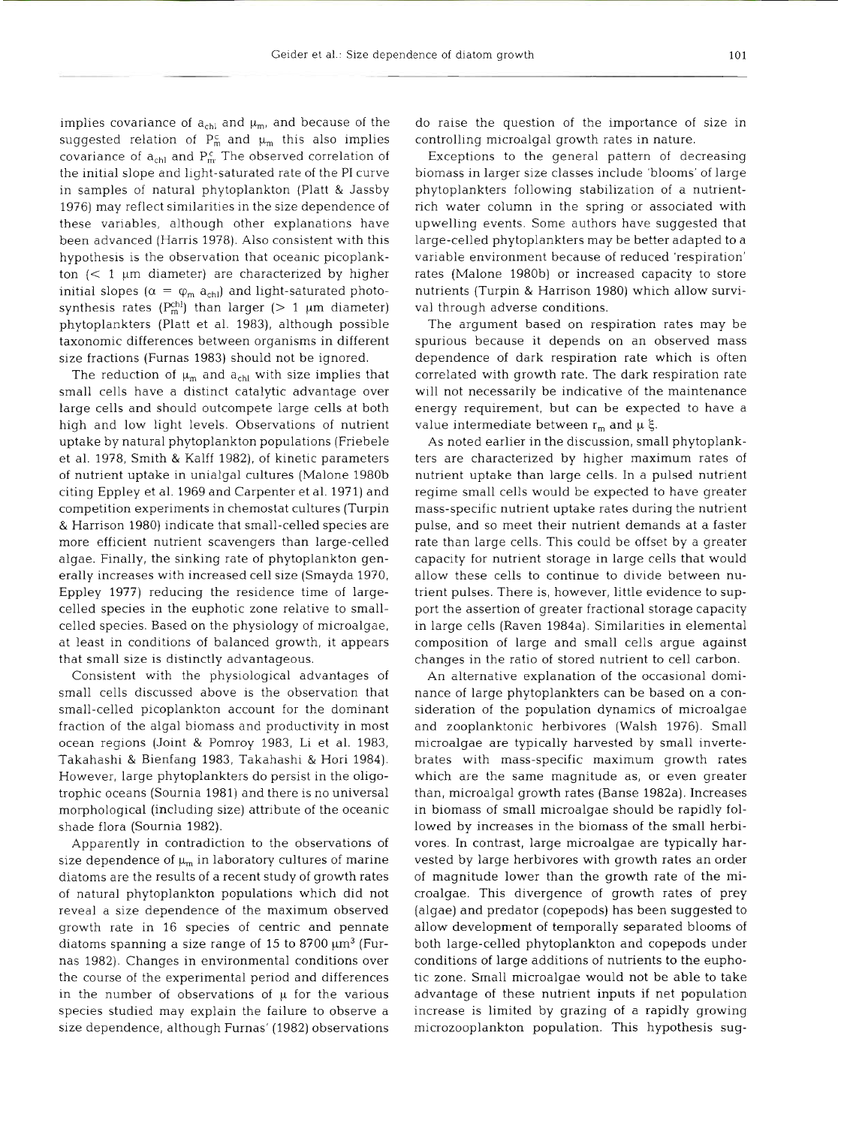implies covariance of  $a_{ch}$  and  $\mu_m$ , and because of the suggested relation of  $P_m^c$  and  $\mu_m$  this also implies covariance of  $a_{ch}$  and  $P_m^c$ . The observed correlation of the initial slope and light-saturated rate of the PI curve in samples of natural phytoplankton (Platt & Jassby 1976) may reflect similarities in the size dependence of these variables, although other explanations have been advanced (Harris 1978). Also consistent with this hypothesis is the observation that oceanic picoplankton  $(< 1 \mu m$  diameter) are characterized by higher initial slopes  $(\alpha = \varphi_m a_{ch})$  and light-saturated photosynthesis rates ( $P_m^{ch}$ ) than larger (> 1  $\mu$ m diameter) phytoplankters (Platt et al. 1983), although possible taxonomic differences between organisms in different size fractions (Furnas 1983) should not be ignored.

The reduction of  $\mu_m$  and  $a_{ch}$  with size implies that small cells have a distinct catalytic advantage over large cells and should outcompete large cells at both high and low light levels. Observations of nutrient uptake by natural phytoplankton populations (Friebele et al. 1978, Smith & Kalff 1982), of kinetic parameters of nutrient uptake in unialgal cultures (Malone 1980b citing Eppley et al. 1969 and Carpenter et al. 1971) and competition experiments in chemostat cultures (Turpin & Harrison 1980) indicate that small-celled species are more efficient nutrient scavengers than large-celled algae. Finally, the sinking rate of phytoplankton generally increases with increased cell size (Smayda 1970, Eppley 1977) reducing the residence time of largecelled species in the euphotic zone relative to smallcelled species. Based on the physiology of microalgae, at least in conditions of balanced growth, it appears that small size is distinctly advantageous.

Consistent with the physiological advantages of small cells discussed above is the observation that small-celled picoplankton account for the dominant fraction of the algal biomass and productivity in most ocean regions (Joint & Pomroy 1983, Li et al. 1983, Takahashi & Bienfang 1983, Takahashi & Hori 1984). However, large phytoplankters do persist in the oligotrophic oceans (Sournia 1981) and there is no universal morphological (including size) attribute of the oceanic shade flora (Sournia 1982).

Apparently in contradiction to the observations of size dependence of  $\mu_m$  in laboratory cultures of marine diatoms are the results of a recent study of growth rates of natural phytoplankton populations which did not reveal a size dependence of the maximum observed growth rate in 16 species of centric and pennate diatoms spanning a size range of 15 to 8700  $\mu$ m<sup>3</sup> (Furnas 1982). Changes in environmental conditions over the course of the experimental period and differences in the number of observations of  $\mu$  for the various species studied may explain the failure to observe a size dependence, although Furnas' (1982) observations

do raise the question of the importance of size in controlling microalgal growth rates in nature.

Exceptions to the general pattern of decreasing biomass in larger size classes include 'blooms' of large phytoplankters following stabilization of a nutrientrich water column in the spring or associated with upwelling events. Some authors have suggested that large-celled phytoplankters may be better adapted to a variable environment because of reduced 'respiration' rates (Malone 1980b) or increased capacity to store nutrients (Turpin & Harrison 1980) which allow survival through adverse conditions.

The argument based on respiration rates may be spurious because it depends on an observed mass dependence of dark respiration rate which is often correlated with growth rate. The dark respiration rate will not necessarily be indicative of the maintenance energy requirement, but can be expected to have a value intermediate between  $r_m$  and  $\mu \xi$ .

As noted earlier in the discussion, small phytoplankters are characterized by higher maximum rates of nutrient uptake than large cells. In a pulsed nutrient regime small cells would be expected to have greater mass-specific nutrient uptake rates during the nutrient pulse, and so meet their nutrient demands at a faster rate than large cells. This could be offset by a greater capacity for nutrient storage in large cells that would allow these cells to continue to divide between nutrient pulses. There is, however, little evidence to support the assertion of greater fractional storage capacity in large cells (Raven 1984a). Similarities in elemental composition of large and small cells argue against changes in the ratio of stored nutrient to cell carbon.

An alternative explanation of the occasional dominance of large phytoplankters can be based on a consideration of the population dynamics of microalgae and zooplanktonic herbivores (Walsh 1976). Small microalgae are typically harvested by small invertebrates with mass-specific maximum growth rates which are the same magnitude as, or even greater than, microalgal growth rates (Banse 1982a). Increases in biomass of small microalgae should be rapidly followed by increases in the biomass of the small herbivores. In contrast, large microalgae are typically harvested by large herbivores with growth rates an order of magnitude lower than the growth rate of the microalgae. This divergence of growth rates of prey (algae) and predator (copepods) has been suggested to allow development of temporally separated blooms of both large-celled phytoplankton and copepods under conditions of large additions of nutrients to the euphotic zone. Small microalgae would not be able to take advantage of these nutrient inputs if net population increase is limited by grazing of a rapidly growing microzooplankton population. This hypothesis sug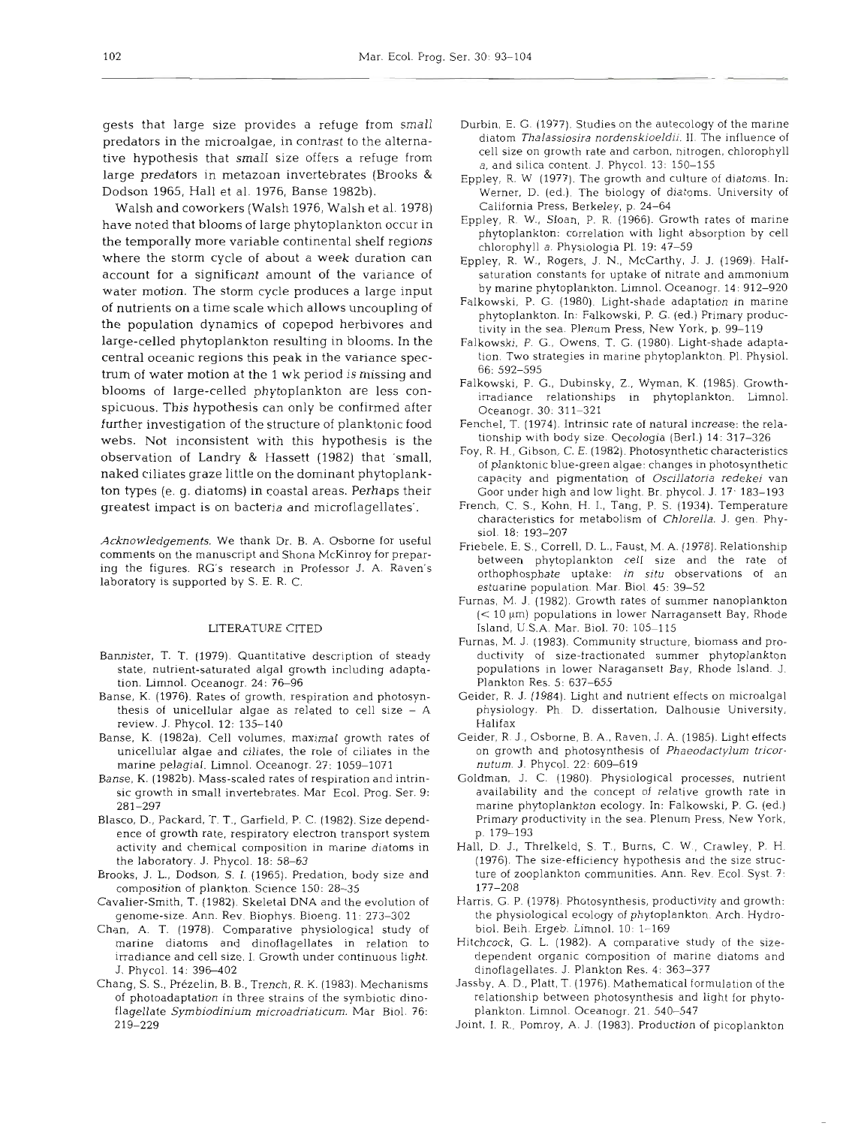gests that large size provides a refuge from small predators in the microalgae, in contrast to the alternative hypothesis that small size offers a refuge from large predators in metazoan invertebrates (Brooks & Dodson 1965, Hall et al. 1976, Banse 1982b).

Walsh and coworkers (Walsh 1976, Walsh et al. 1978) have noted that blooms of large phytoplankton occur in the temporally more variable continental shelf regions where the storm cycle of about a week duration can account for a significant amount of the variance of water motion. The storm cycle produces a large input of nutrients on a time scale which allows uncoupling of the population dynamics of copepod herbivores and large-celled phytoplankton resulting in blooms. In the central oceanic regions this peak in the variance spectrum of water motion at the 1 wk period is missing and blooms of large-celled phytoplankton are less conspicuous. This hypothesis can only be confirmed after further investigation of the structure of planktonic food webs. Not inconsistent with this hypothesis is the observation of Landry & Hassett (1982) that 'small, naked ciliates graze little on the dominant phytoplankton types (e. g. diatoms) in coastal areas. Perhaps their greatest impact is on bacteria and microflagellates'.

*Acknowledgements.* We thank Dr. B. A. Osborne for useful comments on the manuscript and Shona McKinroy for preparing the figures. RG's research in Professor J. A. Raven's laboratory is supported by S. E. R. C.

### LITERATURE CITED

- Bannister. T. T. (1979). Quantitative description of steady state, nutrient-saturated algal growth including adaptation. Limnol. Oceanogr. 24: 76-96
- Banse, K. (1976). Rates of growth, respiration and photosynthesis of unicellular algae as related to cell size  $-$  A review. J. Phycol. 12: 135-140
- Banse, K. (1982a). Cell volumes, maximal growth rates of unicellular algae and ciliates, the role of ciliates in the marine pelagial. Limnol. Oceanogr. 27: 1059-1071
- Banse, K. (1982b). Mass-scaled rates of respiration and intrinsic growth in small invertebrates. Mar Ecol. Prog. Ser. 9: 281-297
- Blasco, D., Packard, T. T., Garfield, P. C. (1982). Size dependence of growth rate, respiratory electron transport system activity and chemical composition in marine diatoms in the laboratory. J. Phycol. 18: 58-63
- Brooks, J. L., Dodson, S. I. (1965). Predation, body size and composition of plankton. Science 150: 28-35
- Cavalier-Smith, T. (1982). Skeletal DNA and the evolution of genome-size. Ann. Rev. Biophys. Bioeng. 11: 273-302
- Chan, A. T. (1978). Comparative physiological study of marine diatoms and dinoflagellates in relation to irradiance and cell size. 1. Growth under continuous light. J. Phycol. 14: 396-402
- Chang, S. S., Prezelin, B. B., Trench, R. K. (1983). Mechanisms of photoadaptation in three strains of the symbiotic dinoflagellate Symbiodinium microadriaticum. Mar Biol. 76: 2 19-229
- Durbin, E. G. (1977). Studies on the autecology of the marine diatom *Thalassiosira nordenskioeldii.* 11. The influence of cell size on growth rate and carbon, nitrogen, chlorophyll *a,* and silica content. J. Phycol. 13: 150-155
- Eppley, R. W (1977). The growth and culture of diatoms. In: Werner, D. (ed.). The biology of diatoms. University of California Press, Berkeley, p. 24-64
- Eppley, R. W., Sloan, P. R. (1966). Growth rates of marine phytoplankton: correlation with light absorption by cell chlorophyll a. Physiologia P1. 19: 47-59
- Eppley, R. W., Rogers, J. N., McCarthy, J. J. (1969). Halfsaturation constants for uptake of nitrate and ammonium by marine phytoplankton. Limnol. Oceanogr. 14: 912-920
- Falkowski, P. G. (1980). Light-shade adaptation in marine phytoplankton. In: Falkowski. P. G. (ed.) Primary productivity in the sea. Plenum Press. New York, p. 99-119
- Falkowski, P. G., Owens, T. G. (1980). Light-shade adaptation. Two strategies in marine phytoplankton. PI. Physiol. 66: 592-595
- Falkowski, P. G., Dubinsky, Z., Wyman, K. (1985). Growthirradiance relationships in phytoplankton. Limnol. Oceanogr. 30: 31 1-321
- Fenchel, T. (1974). Intrinsic rate of natural increase: the relationship with body size. Oecologia (Berl.) 14: 317-326
- Foy, R, H., Gibson, *C.* E. (1982). Photosyntheticcharacteristics of planktonic blue-green algae: changes in photosynthetic capacity and pigmentation of *Oscillatoria redekei* van Goor under high and low light. Br. phycol. J. 17. 183-193
- French, C. S., Kohn, H. I., Tang, P. S. (1934). Temperature characteristics for metabolism of *Chlorella.* J. gen. Physiol. 18: 193-207
- Friebele, E. S., Correll, D. L., Faust, M. A. (1978). Relationship between phytoplankton cell size and the rate of orthophosphate uptake: *in situ* observations of an estuarine population. Mar. Biol. 45: 39-52
- Furnas, M. J. (1982). Growth rates of summer nanoplankton  $(< 10 \mu m$ ) populations in lower Narragansett Bay, Rhode Island, U S.A. Mar. Biol. 70: 105-1 15
- Furnas, M. J. (1983). Community structure, biomass and productivity of size-fractionated summer phytoplankton populations in lower Naragansett Bay, Rhode Island. J. Plankton Res. 5: 637-655
- Geider, R. J. (1984). Light and nutrient effects on microalgal physiology. Ph. D. dissertation, Dalhousie University, Halifax
- Geider, R. J., Osborne, B. A., Raven, J. A. (1985). Light effects on growth and photosynthesis of *Phaeodactylum tricornuturn. J.* Phycol. 22: 609-619
- Goldman, J. C. (1980) Physiological processes, nutrient availability and the concept of relative growth rate in marine phytoplankton ecology. In: Falkowski, P. G. (ed.) Primary productivity in the sea. Plenum Press, New York, p. 179-193
- Hall. D. J., Threlkeld. S. T., Burns, C. W., Crawley, P. H. (1976). The size-efficiency hypothesis and the size structure of zooplankton communities. Ann. Rev. Ecol. Syst. 7: 177-208
- Harris, G. P. (1978). Photosynthesis, productivity and growth: the physiological ecology of phytoplankton. Arch. Hydrobiol. Beih. Ergeb. Limnol. 10: 1-169
- Hitchcock, G. L. (1982). A comparative study of the sizedependent organic composition of marine diatoms and dinoflagellates. J. Plankton Res. 4: 363-377
- Jassby, A. D., Platt, T. (1976). Mathematical formulation of the relationship between photosynthesis and light for phytoplankton. Limnol. Oceanogr. 21. 540-547
- Joint, I. R.. Pomroy, A. J. (1983). Production of picoplankton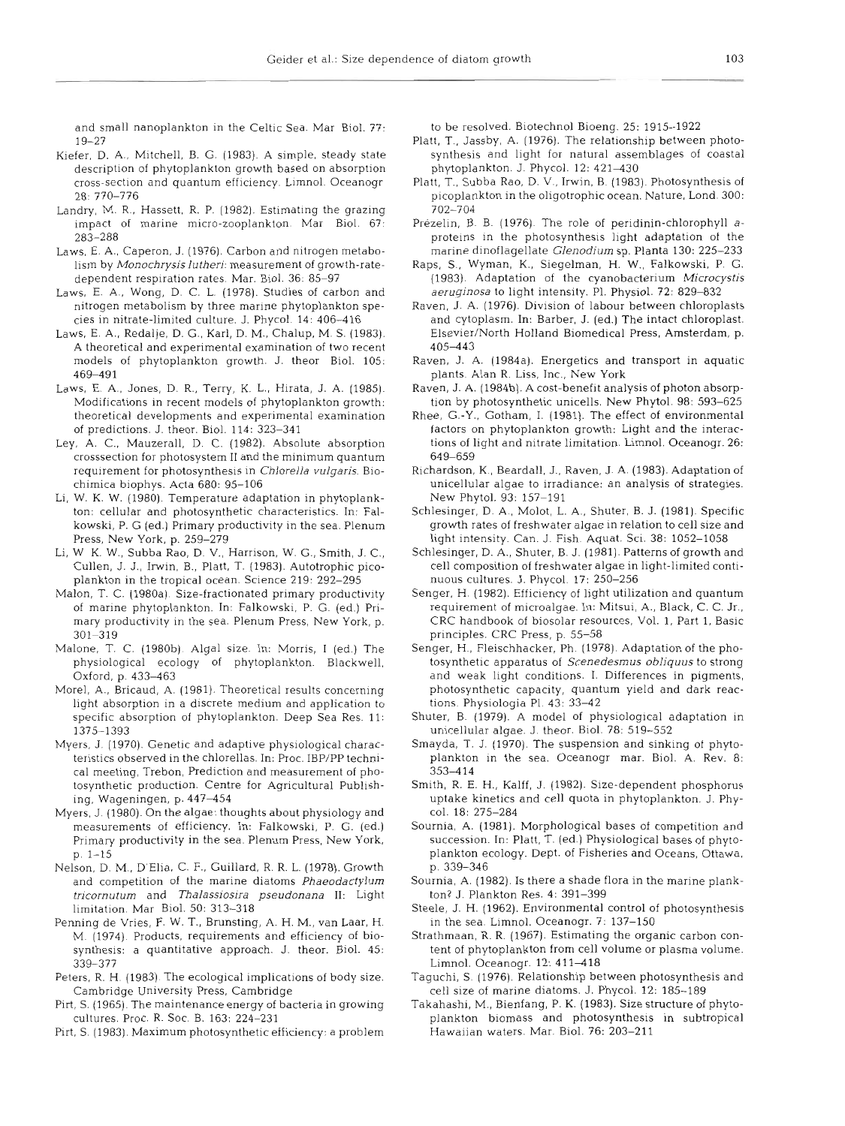and small nanoplankton in the Celtic Sea. Mar Biol. 77: 19-27

- Kiefer, D. A., Mitchell, B. G. (1983). A simple, steady state description of phytoplankton growth based on absorption cross-section and quantum efficiency. Limnol. Oceanogr 28: 770-776
- Landry, M. R., Hassett. R. P. (1982). Estimating the grazing impact of marine micro-zooplankton. Mar Biol. 67: 283-288
- Laws, E. A., Caperon, J. (1976). Carbon and nitrogen metabolism by *Monochrysislutheri:* measurement of growth-ratedependent respiration rates. Mar. Biol. 36: 85-97
- Laws. E. A., Wong, D. C. L. (1978). Studies of carbon and nitrogen metabolism by three marine phytoplankton species in nitrate-limited culture. J. Phycol. 14: 406-416
- Laws, E. A., Redalje, D. G., Karl, D. M., Chalup, M. S. (1983). A theoretical and experimental examination of two recent models of phytoplankton growth. J. theor Biol. 105: 469491
- Laws, E. A., Jones, D. R., Terry, K. L., Hirata, J. A. (1985). Modifications in recent models of phytoplankton growth: theoretical developments and experimental examination of predictions. J. theor. Biol. 114: 323-341
- Ley, A. C.. Mauzerall. D. C. (1982). Absolute absorption crosssection for photosystem I1 and the minimum quantum requirement for photosynthesis in *Chlorella vulgaris.* Biochimica biophys. Acta 680: 95-106
- Li, W. K. W. (1980). Temperature adaptation in phytoplankton: cellular and photosynthetic characteristics. In: Falkowski, P. G (ed.) Primary productivity in the sea. Plenum Press, New York. p. 259-279
- Li, W K. W., Subba Rao, D. V., Harrison, W. G., Smith, J. C., Cullen, J. J., Irwin. B., Platt, T. (1983). Autotrophic picoplankton in the tropical ocean. Science 219: 292-295
- Malon, T. C. (1980a) Size-fractionated primary productivity of marine phytoplankton. In: Falkowski, P. G. (ed.) Primary productivity in the sea. Plenum Press, New York, p. 301-319
- Malone. T. C. (1980b). Algal size. In: Morris, I (ed.) The physiological ecology of phytoplankton. Blackwell, Oxford, p. 433-463
- Morel, A., Bricaud, A. (1981). Theoretical results concerning light absorption in a discrete medium and application to specific absorption of phytoplankton. Deep Sea Res. 11: 1375-1393
- Myers, J. (1970). Genetic and adaptive physiological characteristics observed in the chlorellas. In: Proc. IBP/PP technical meeting, Trebon, Prediction and measurement of photosynthetic production. Centre for Agricultural Publishing, Wageningen, p. 447-454
- Myers, J. (1980). On the algae: thoughts about physiology and measurements of efficiency. In: Falkowski, P. G. (ed.) Primary productivity in the sea. Plenum Press, New York, p. 1-15
- Nelson, D. M,, D'Elia, C. F., Guillard, R. R. L. (1978). Growth and competition of the marine diatoms *Phaeodactylum tricornutum* and *Thalassiosira pseudonana* 11: Light limitation. Mar Biol. 50: 313–31
- Penning de Vries, F. W. T., Brunsting, A. H. M,, van Laar, H. M. (1974). Products, requirements and efficiency of biosynthesis: a quantitative approach. J. theor. Biol. 45: 339-377
- Peters. R. H. (1983). The ecological implications of body size. Cambridge University Press, Cambridge
- Pirt, S. (1965). The maintenance energy of bacteria in growing cultures. Proc. R. Soc. B. 163: 224-231
- Pirt, S. (1983). Maximum photosynthetic efficiency: a problem

to be resolved. Biotechnol Bioeng. 25: 1915-1922

- Platt, T., Jassby, A. (1976). The relationship between photosynthesis and light for natural assemblages of coastal phytoplankton. J. Phycol. 12: 421–430
- Platt, T., Subba Rao, D. V., Irwin, B. (1983). Photosynthesis of picoplankton in the oligotrophic ocean. Nature. Lond. 300: 702-704
- Prezelin, B. B. (1976). The role of peridinin-chlorophyll *a*proteins in the photosynthesis light adaptation of the manne dinoflagellate *Glenodium* sp. Planta 130: 225-233
- Raps, S., Wyman, K., Siegelman, H. W., Falkowski, P. G. (1983). Adaptation of the cyanobacterium *Microcystis*  aeruginosa to light intensity. Pl. Physiol. 72: 829–832
- Raven. J. A. (1976). Division of labour between chloroplasts and cytoplasm. In: Barber, J. (ed.) The intact chloroplast. Elsevier/North Holland Biomedical Press, Amsterdam, p. 405443
- Raven. J. A. (1984a). Energetics and transport in aquatic plants. Alan R. Liss. Inc., New York
- Raven, J. A. (1984b). A cost-benefit analysis of photon absorption by photosynthetic unicells. New Phytol. 98: 593-625
- Rhee, G.-Y., Gotham, I. (1981). The effect of environmental factors on phytoplankton growth: Light and the interactions of light and nitrate limitation. Limnol. Oceanogr. 26: 649-659
- Richardson, K., Beardall, J., Raven, J. A. (1983). Adaptation of unicellular algae to irradiance: an analysis of strategies. New Phytol. 93: 157-191
- Schlesinger, D. A., Molot, L. A., Shuter, B. J. (1981). Specific growth rates of freshwater algae in relation to cell size and light intensity. Can. J. Fish. Aquat. Sci. 38: 1052-1058
- Schlesinger, D. A., Shuter, B. J. (1981). Patterns of growth and cell composition of freshwater algae in light-limited continuous cultures. J. Phycol. 17: 250-256
- Senger. H. (1982). Efficiency of light utilization and quantum requirement of microalgae. In: Mitsui, A., Black, C. C. Jr., CRC handbook of biosolar resources, Vol. 1, Part 1, Basic principles. CRC Press, p. 55-58
- Senger, H., Fleischhacker, Ph. (1978). Adaptation of the photosynthetic apparatus of *Scenedesmus obliquus* to strong and weak light conditions. I. Differences in pigments, photosynthetic capacity, quantum yield and dark reactions. Physiologia P1. 43: 33-42
- Shuter. B. (1979). A model of physiological adaptation in unicellular algae. J. theor. Biol. 78: 519-552
- Smayda, T. J. (1970). The suspension and sinking of phytoplankton in the sea. Oceanogr mar. Biol. A. Rev. 8: 353414
- Smith, R. E. H., Kalff, J. (1982). Size-dependent phosphorus uptake kinetics and cell quota in phytoplankton. J. Phycol. 18: 275-284
- Sournia, A. (1981). Morphological bases of competition and succession. In: Platt, T. (ed.) Physiological bases of phytoplankton ecology. Dept. of Fisheries and Oceans, Ottawa, p. 339-346
- Sournia. A. (1982). Is there a shade flora in the marine plankton? J. Plankton Res. 4: 391–39
- Steele, J. H. (1962). Environmental control of photosynthesis in the sea. Limnol. Oceanogr. 7: 137-150
- Strathmaan, R. R. (1967). Estimating the organic carbon content of phytoplankton from cell volume or plasma volume. Limnol. Oceanogr. 12: 411–418
- Taguchi, S. (1976). Relationship between photosynthesis and cell size of marine diatoms. J. Phycol. 12: 185-189
- Takahashi, M,, Bienfang, P. K. (1983). Size structure of phytoplankton biomass and photosynthesis in subtropical Hawaiian waters. Mar. Biol. 76: 203-211